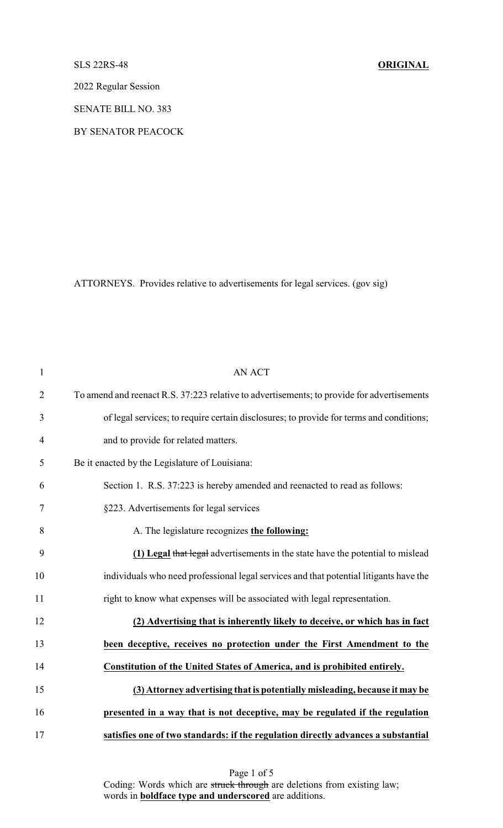## SLS 22RS-48 **ORIGINAL**

2022 Regular Session

SENATE BILL NO. 383

BY SENATOR PEACOCK

ATTORNEYS. Provides relative to advertisements for legal services. (gov sig)

| $\mathbf{1}$   | <b>AN ACT</b>                                                                              |
|----------------|--------------------------------------------------------------------------------------------|
| $\overline{2}$ | To amend and reenact R.S. 37:223 relative to advertisements; to provide for advertisements |
| 3              | of legal services; to require certain disclosures; to provide for terms and conditions;    |
| $\overline{4}$ | and to provide for related matters.                                                        |
| 5              | Be it enacted by the Legislature of Louisiana:                                             |
| 6              | Section 1. R.S. 37:223 is hereby amended and reenacted to read as follows:                 |
| 7              | §223. Advertisements for legal services                                                    |
| 8              | A. The legislature recognizes the following:                                               |
| 9              | (1) Legal that legal advertisements in the state have the potential to mislead             |
| 10             | individuals who need professional legal services and that potential litigants have the     |
| 11             | right to know what expenses will be associated with legal representation.                  |
| 12             | (2) Advertising that is inherently likely to deceive, or which has in fact                 |
| 13             | been deceptive, receives no protection under the First Amendment to the                    |
| 14             | Constitution of the United States of America, and is prohibited entirely.                  |
| 15             | (3) Attorney advertising that is potentially misleading, because it may be                 |
| 16             | presented in a way that is not deceptive, may be regulated if the regulation               |
| 17             | satisfies one of two standards: if the regulation directly advances a substantial          |

Page 1 of 5 Coding: Words which are struck through are deletions from existing law; words in **boldface type and underscored** are additions.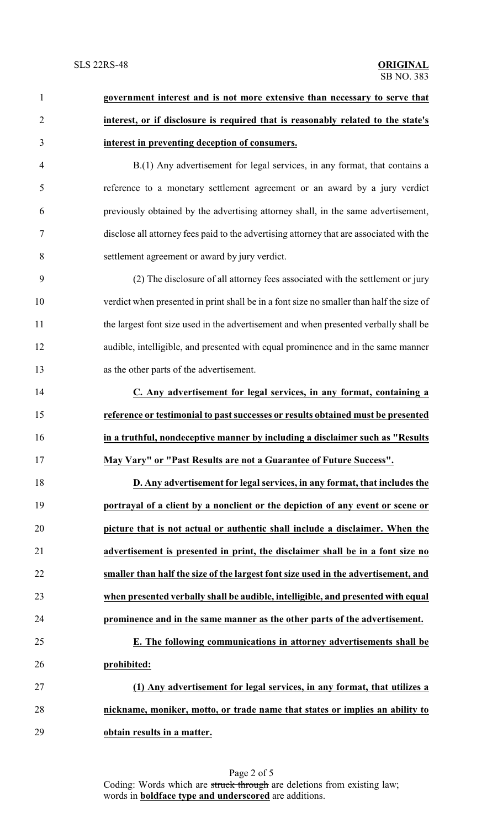| 1              | government interest and is not more extensive than necessary to serve that               |
|----------------|------------------------------------------------------------------------------------------|
| $\overline{2}$ | interest, or if disclosure is required that is reasonably related to the state's         |
| 3              | interest in preventing deception of consumers.                                           |
| $\overline{4}$ | B.(1) Any advertisement for legal services, in any format, that contains a               |
| 5              | reference to a monetary settlement agreement or an award by a jury verdict               |
| 6              | previously obtained by the advertising attorney shall, in the same advertisement,        |
| $\overline{7}$ | disclose all attorney fees paid to the advertising attorney that are associated with the |
| 8              | settlement agreement or award by jury verdict.                                           |
| 9              | (2) The disclosure of all attorney fees associated with the settlement or jury           |
| 10             | verdict when presented in print shall be in a font size no smaller than half the size of |
| 11             | the largest font size used in the advertisement and when presented verbally shall be     |
| 12             | audible, intelligible, and presented with equal prominence and in the same manner        |
| 13             | as the other parts of the advertisement.                                                 |
| 14             | C. Any advertisement for legal services, in any format, containing a                     |
| 15             | reference or testimonial to past successes or results obtained must be presented         |
| 16             | in a truthful, nondeceptive manner by including a disclaimer such as "Results            |
| 17             | May Vary" or "Past Results are not a Guarantee of Future Success".                       |
| 18             | D. Any advertisement for legal services, in any format, that includes the                |
| 19             | portrayal of a client by a nonclient or the depiction of any event or scene or           |
| 20             | picture that is not actual or authentic shall include a disclaimer. When the             |
| 21             | advertisement is presented in print, the disclaimer shall be in a font size no           |
| 22             | smaller than half the size of the largest font size used in the advertisement, and       |
| 23             | when presented verbally shall be audible, intelligible, and presented with equal         |
| 24             | prominence and in the same manner as the other parts of the advertisement.               |
| 25             | E. The following communications in attorney advertisements shall be                      |
| 26             | prohibited:                                                                              |
| 27             | (1) Any advertisement for legal services, in any format, that utilizes a                 |
| 28             | nickname, moniker, motto, or trade name that states or implies an ability to             |
| 29             | obtain results in a matter.                                                              |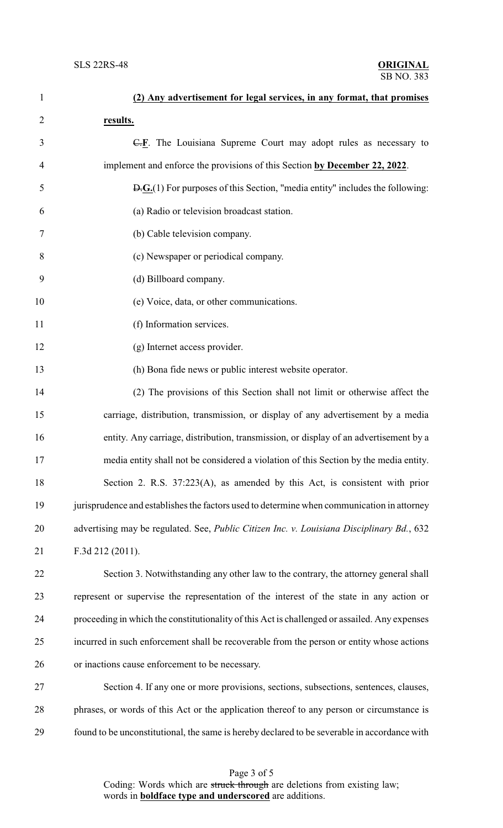| $\mathbf{1}$   | (2) Any advertisement for legal services, in any format, that promises                                          |
|----------------|-----------------------------------------------------------------------------------------------------------------|
| $\overline{2}$ | results.                                                                                                        |
| 3              | $\overline{C,E}$ . The Louisiana Supreme Court may adopt rules as necessary to                                  |
| 4              | implement and enforce the provisions of this Section by December 22, 2022.                                      |
| 5              | $\overline{D}$ $\cdot$ $\overline{G}$ .(1) For purposes of this Section, "media entity" includes the following: |
| 6              | (a) Radio or television broadcast station.                                                                      |
| 7              | (b) Cable television company.                                                                                   |
| 8              | (c) Newspaper or periodical company.                                                                            |
| 9              | (d) Billboard company.                                                                                          |
| 10             | (e) Voice, data, or other communications.                                                                       |
| 11             | (f) Information services.                                                                                       |
| 12             | (g) Internet access provider.                                                                                   |
| 13             | (h) Bona fide news or public interest website operator.                                                         |
| 14             | (2) The provisions of this Section shall not limit or otherwise affect the                                      |
| 15             | carriage, distribution, transmission, or display of any advertisement by a media                                |
| 16             | entity. Any carriage, distribution, transmission, or display of an advertisement by a                           |
| 17             | media entity shall not be considered a violation of this Section by the media entity.                           |
| 18             | Section 2. R.S. 37:223(A), as amended by this Act, is consistent with prior                                     |
| 19             | jurisprudence and establishes the factors used to determine when communication in attorney                      |
| 20             | advertising may be regulated. See, Public Citizen Inc. v. Louisiana Disciplinary Bd., 632                       |
| 21             | F.3d 212 (2011).                                                                                                |
| 22             | Section 3. Notwithstanding any other law to the contrary, the attorney general shall                            |
| 23             | represent or supervise the representation of the interest of the state in any action or                         |
| 24             | proceeding in which the constitutionality of this Act is challenged or assailed. Any expenses                   |
| 25             | incurred in such enforcement shall be recoverable from the person or entity whose actions                       |
| 26             | or inactions cause enforcement to be necessary.                                                                 |
| 27             | Section 4. If any one or more provisions, sections, subsections, sentences, clauses,                            |
| 28             | phrases, or words of this Act or the application thereof to any person or circumstance is                       |
| 29             | found to be unconstitutional, the same is hereby declared to be severable in accordance with                    |

| Page 3 of 5                                                             |
|-------------------------------------------------------------------------|
| Coding: Words which are struck through are deletions from existing law; |
| words in <b>boldface</b> type and <b>underscored</b> are additions.     |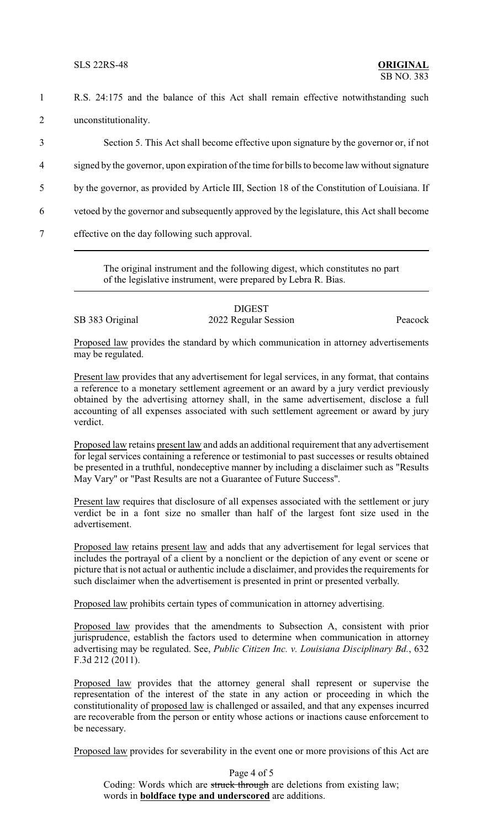SLS 22RS-48 **ORIGINAL**

- 1 R.S. 24:175 and the balance of this Act shall remain effective notwithstanding such 2 unconstitutionality.
- 3 Section 5. This Act shall become effective upon signature by the governor or, if not 4 signed by the governor, upon expiration of the time for bills to become law without signature 5 by the governor, as provided by Article III, Section 18 of the Constitution of Louisiana. If 6 vetoed by the governor and subsequently approved by the legislature, this Act shall become 7 effective on the day following such approval.

The original instrument and the following digest, which constitutes no part of the legislative instrument, were prepared by Lebra R. Bias.

## DIGEST SB 383 Original 2022 Regular Session Peacock

Proposed law provides the standard by which communication in attorney advertisements may be regulated.

Present law provides that any advertisement for legal services, in any format, that contains a reference to a monetary settlement agreement or an award by a jury verdict previously obtained by the advertising attorney shall, in the same advertisement, disclose a full accounting of all expenses associated with such settlement agreement or award by jury verdict.

Proposed law retains present law and adds an additional requirement that any advertisement for legal services containing a reference or testimonial to past successes or results obtained be presented in a truthful, nondeceptive manner by including a disclaimer such as "Results May Vary" or "Past Results are not a Guarantee of Future Success".

Present law requires that disclosure of all expenses associated with the settlement or jury verdict be in a font size no smaller than half of the largest font size used in the advertisement.

Proposed law retains present law and adds that any advertisement for legal services that includes the portrayal of a client by a nonclient or the depiction of any event or scene or picture that is not actual or authentic include a disclaimer, and provides the requirements for such disclaimer when the advertisement is presented in print or presented verbally.

Proposed law prohibits certain types of communication in attorney advertising.

Proposed law provides that the amendments to Subsection A, consistent with prior jurisprudence, establish the factors used to determine when communication in attorney advertising may be regulated. See, *Public Citizen Inc. v. Louisiana Disciplinary Bd.*, 632 F.3d 212 (2011).

Proposed law provides that the attorney general shall represent or supervise the representation of the interest of the state in any action or proceeding in which the constitutionality of proposed law is challenged or assailed, and that any expenses incurred are recoverable from the person or entity whose actions or inactions cause enforcement to be necessary.

Proposed law provides for severability in the event one or more provisions of this Act are

Page 4 of 5 Coding: Words which are struck through are deletions from existing law; words in **boldface type and underscored** are additions.